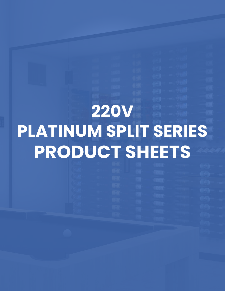# **220V PLATINUM SPLIT SERIES PRODUCT SHEETS**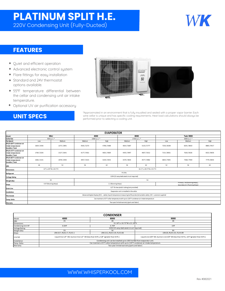## **PLATINUM SPLIT H.E.**

220V Condensing Unit (Fully-Ducted)



### **FEATURES**

- + Quiet and efficient operation
- + Advanced electronic control system
- + Flare fittings for easy installation
- + Standard and 24V thermostat options available.
- + 55°F temperature differential between the cellar and condensing unit air intake temperature.
- + Optional UV air purification accessory



**UNIT SPECS** 

\*Approximated in an environment that is fully insualted and sealed with a proper vapor barrier. Each wine cellar is unique and has specific cooling requirements. Heat load calculations should always be performed prior to selecting a cooling unit.

| <b>EVAPORATOR</b>                                                    |                                                                                                                               |           |              |           |              |           |                       |                                                              |           |
|----------------------------------------------------------------------|-------------------------------------------------------------------------------------------------------------------------------|-----------|--------------|-----------|--------------|-----------|-----------------------|--------------------------------------------------------------|-----------|
| Model<br>Cellar Size                                                 |                                                                                                                               | Mini      | 4000         |           | 8000         |           | <b>Twin 9000</b>      |                                                              |           |
|                                                                      | 500 cu. L *                                                                                                                   |           | 1000 cu. L * |           | 1750 cu. L.* |           | 3000 cu. L *          |                                                              |           |
| <b>Fan Speed</b>                                                     | Low                                                                                                                           | Medium    | Medium       | High      | Medium       | High      | High<br>Medium<br>Low |                                                              |           |
| BTU/h (60°F condenser air<br>intake temperature)<br>Sensible / Total | 1829/2436                                                                                                                     | 2275/2891 | 4565/5273    | 4786/5488 | 4814/5687    | 5133/5777 | 7256/8208             | 8201/8810                                                    | 8883/9417 |
| BTU/h (75°F condenser air<br>intake temperature)<br>Sensible / Total | 1760/2326                                                                                                                     | 2127/2641 | 4177/4561    | 4601/4669 | 4455/4997    | 4607/5012 | 7131/8061             | 7626/8326                                                    | 8322/8636 |
| BTU/h (85°F condenser air<br>intake temperature)<br>Sensible / Total | 1666/2141                                                                                                                     | 2078/2492 | 3957/4315    | 4244/4453 | 4370/4834    | 4577/4982 | 6843/7845             | 7368/7959                                                    | 7779/8054 |
| dBA                                                                  | 46                                                                                                                            | 52        | 56           | 62        | 56           | 62        | 52                    | 56                                                           | 62        |
| <b>Dimensions</b>                                                    | 13"L x 20"W x 10.5"H<br>16.1"Lx20.5"Wx15.5"H                                                                                  |           |              |           |              |           |                       |                                                              |           |
| Refrigerant                                                          | R-134a                                                                                                                        |           |              |           |              |           |                       |                                                              |           |
| Voltage Rat ng                                                       | 120V (15-amp dedicated circuit required)                                                                                      |           |              |           |              |           |                       |                                                              |           |
| Weight (lbs)                                                         | 33<br>54                                                                                                                      |           |              |           |              |           |                       |                                                              |           |
| Amps                                                                 | 2.2 (Running Amps)<br>0.97 (Running Amps)                                                                                     |           |              |           |              |           |                       | Primary 2.48 (Running Amps);<br>Secondary (2.2 Running Amps) |           |
| <b>Drain Line</b>                                                    | 1/2" ID clear plas c tubing (not provided)                                                                                    |           |              |           |              |           |                       |                                                              |           |
| Installat on                                                         | Evaporator unit is installed in the cellar.                                                                                   |           |              |           |              |           |                       |                                                              |           |
| Thermostat                                                           | Advanced digital display (50-L. cable), liquid-temperature-measuring bo le probe (retractable cable), 24V - customer supplied |           |              |           |              |           |                       |                                                              |           |
| Temp. Delta                                                          | Can maintain a 55°F cellar temperature with up to 120°F condenser air intake temperature                                      |           |              |           |              |           |                       |                                                              |           |
| Warranty                                                             | Two-year limited warranty (parts and labor)                                                                                   |           |              |           |              |           |                       |                                                              |           |

| <b>CONDENSER</b>      |                                                                                           |                              |                                                                                          |  |  |  |
|-----------------------|-------------------------------------------------------------------------------------------|------------------------------|------------------------------------------------------------------------------------------|--|--|--|
| Model                 | 4000                                                                                      | 8000                         | 9000                                                                                     |  |  |  |
| dBA                   | 45                                                                                        | 48                           | 48                                                                                       |  |  |  |
| Dimensions            | 31.18"L x 10.75"W x 21.18"H                                                               |                              |                                                                                          |  |  |  |
| Condensing Unit HP    | $0.6$ HP                                                                                  | 0.7HP                        | 1HP                                                                                      |  |  |  |
| <b>Voltage Rating</b> | 220V (15-amp dedicated circuit required)                                                  |                              |                                                                                          |  |  |  |
| Weight (lbs)          | 55                                                                                        | 56                           | 64                                                                                       |  |  |  |
| Amps                  | LRA 10.7, RLA 2.7, FLA 3.1                                                                | LRA 13.2. RLA 3.19. FLA 3.66 | LRA 20, RLA 4.25, FLA 4.89                                                               |  |  |  |
| Line Set              | Liquid line 1/4" OD; Suction line 1/2" OD (less than 50 ft.), 5/8" (greater than 50 ft.)  |                              | Liquid Line 3/8" OD; Suction Line 5/8" OD (less than 50 ft.), 3/4" (greater than 50 ft.) |  |  |  |
| Installation          | Condensing unit can be installed up to 100 line feet from evaporator unit.                |                              |                                                                                          |  |  |  |
| Temp. Delta           | Can maintain a 55°F cellar temperature with up to 120°F condenser air intake temperature. |                              |                                                                                          |  |  |  |
| Warranty              | Two-year limited warranty (parts and labor)                                               |                              |                                                                                          |  |  |  |